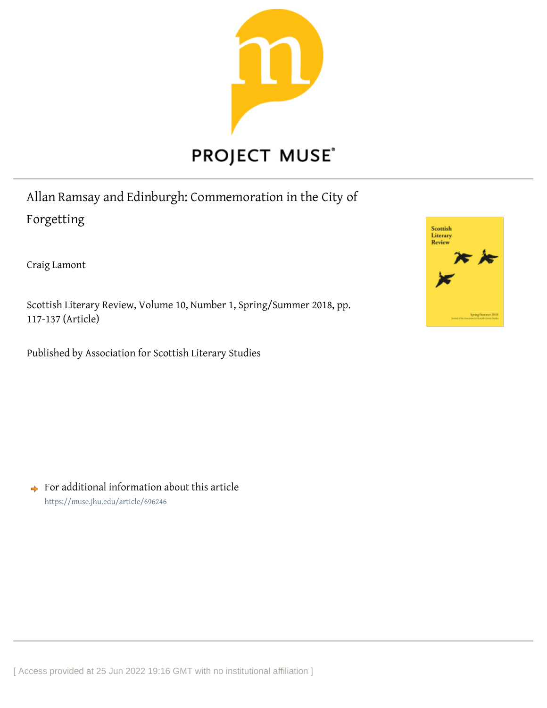

Allan Ramsay and Edinburgh: Commemoration in the City of Forgetting

Craig Lamont

Scottish Literary Review, Volume 10, Number 1, Spring/Summer 2018, pp. 117-137 (Article)

Published by Association for Scottish Literary Studies



 $\rightarrow$  For additional information about this article <https://muse.jhu.edu/article/696246>

[ Access provided at 25 Jun 2022 19:16 GMT with no institutional affiliation ]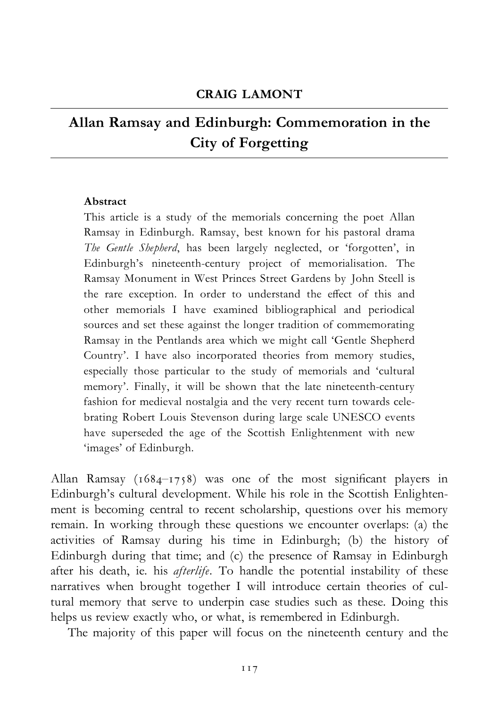# Allan Ramsay and Edinburgh: Commemoration in the City of Forgetting

## Abstract

This article is a study of the memorials concerning the poet Allan Ramsay in Edinburgh. Ramsay, best known for his pastoral drama The Gentle Shepherd, has been largely neglected, or 'forgotten', in Edinburgh's nineteenth-century project of memorialisation. The Ramsay Monument in West Princes Street Gardens by John Steell is the rare exception. In order to understand the effect of this and other memorials I have examined bibliographical and periodical sources and set these against the longer tradition of commemorating Ramsay in the Pentlands area which we might call 'Gentle Shepherd Country'. I have also incorporated theories from memory studies, especially those particular to the study of memorials and 'cultural memory'. Finally, it will be shown that the late nineteenth-century fashion for medieval nostalgia and the very recent turn towards celebrating Robert Louis Stevenson during large scale UNESCO events have superseded the age of the Scottish Enlightenment with new 'images' of Edinburgh.

Allan Ramsay (1684–1758) was one of the most significant players in Edinburgh's cultural development. While his role in the Scottish Enlightenment is becoming central to recent scholarship, questions over his memory remain. In working through these questions we encounter overlaps: (a) the activities of Ramsay during his time in Edinburgh; (b) the history of Edinburgh during that time; and (c) the presence of Ramsay in Edinburgh after his death, ie. his *afterlife*. To handle the potential instability of these narratives when brought together I will introduce certain theories of cultural memory that serve to underpin case studies such as these. Doing this helps us review exactly who, or what, is remembered in Edinburgh.

The majority of this paper will focus on the nineteenth century and the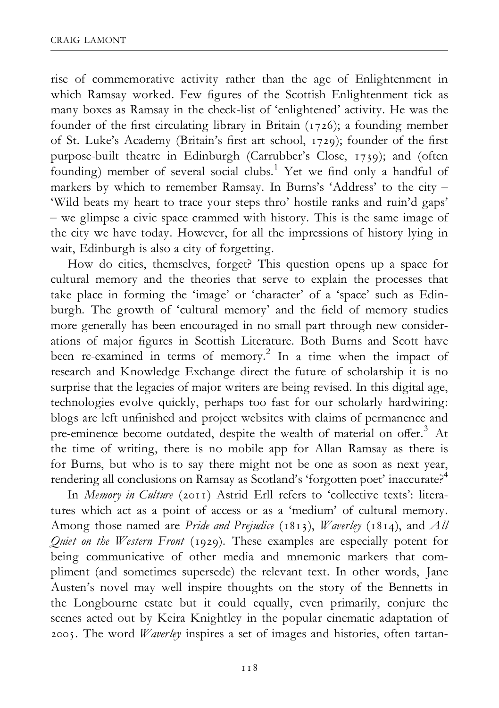rise of commemorative activity rather than the age of Enlightenment in which Ramsay worked. Few figures of the Scottish Enlightenment tick as many boxes as Ramsay in the check-list of 'enlightened' activity. He was the founder of the first circulating library in Britain (1726); a founding member of St. Luke's Academy (Britain's first art school, 1729); founder of the first purpose-built theatre in Edinburgh (Carrubber's Close, 1739); and (often founding) member of several social clubs.<sup>1</sup> Yet we find only a handful of markers by which to remember Ramsay. In Burns's 'Address' to the city -'Wild beats my heart to trace your steps thro' hostile ranks and ruin'd gaps'  $-$  we glimpse a civic space crammed with history. This is the same image of the city we have today. However, for all the impressions of history lying in wait, Edinburgh is also a city of forgetting.

How do cities, themselves, forget? This question opens up a space for cultural memory and the theories that serve to explain the processes that take place in forming the 'image' or 'character' of a 'space' such as Edinburgh. The growth of 'cultural memory' and the field of memory studies more generally has been encouraged in no small part through new considerations of major figures in Scottish Literature. Both Burns and Scott have been re-examined in terms of memory.<sup>2</sup> In a time when the impact of research and Knowledge Exchange direct the future of scholarship it is no surprise that the legacies of major writers are being revised. In this digital age, technologies evolve quickly, perhaps too fast for our scholarly hardwiring: blogs are left unfinished and project websites with claims of permanence and pre-eminence become outdated, despite the wealth of material on offer.<sup>3</sup> At the time of writing, there is no mobile app for Allan Ramsay as there is for Burns, but who is to say there might not be one as soon as next year, rendering all conclusions on Ramsay as Scotland's 'forgotten poet' inaccurate?<sup>4</sup>

In Memory in Culture (2011) Astrid Erll refers to 'collective texts': literatures which act as a point of access or as a 'medium' of cultural memory. Among those named are Pride and Prejudice (1813), *Waverley* (1814), and All Quiet on the Western Front (1929). These examples are especially potent for being communicative of other media and mnemonic markers that compliment (and sometimes supersede) the relevant text. In other words, Jane Austen's novel may well inspire thoughts on the story of the Bennetts in the Longbourne estate but it could equally, even primarily, conjure the scenes acted out by Keira Knightley in the popular cinematic adaptation of 2005. The word *Waverley* inspires a set of images and histories, often tartan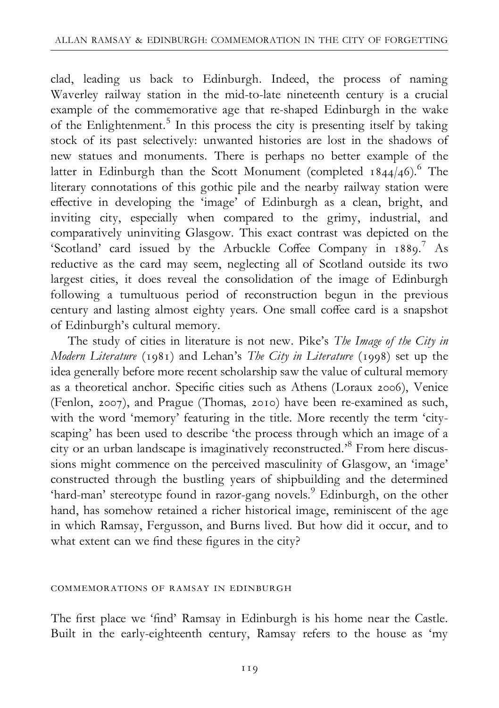clad, leading us back to Edinburgh. Indeed, the process of naming Waverley railway station in the mid-to-late nineteenth century is a crucial example of the commemorative age that re-shaped Edinburgh in the wake of the Enlightenment.<sup>5</sup> In this process the city is presenting itself by taking stock of its past selectively: unwanted histories are lost in the shadows of new statues and monuments. There is perhaps no better example of the latter in Edinburgh than the Scott Monument (completed  $1844/46$ ).<sup>6</sup> The literary connotations of this gothic pile and the nearby railway station were effective in developing the 'image' of Edinburgh as a clean, bright, and inviting city, especially when compared to the grimy, industrial, and comparatively uninviting Glasgow. This exact contrast was depicted on the 'Scotland' card issued by the Arbuckle Coffee Company in 1889.<sup>7</sup> As reductive as the card may seem, neglecting all of Scotland outside its two largest cities, it does reveal the consolidation of the image of Edinburgh following a tumultuous period of reconstruction begun in the previous century and lasting almost eighty years. One small coffee card is a snapshot of Edinburgh's cultural memory.

The study of cities in literature is not new. Pike's The Image of the City in Modern Literature ( $1981$ ) and Lehan's The City in Literature ( $1998$ ) set up the idea generally before more recent scholarship saw the value of cultural memory as a theoretical anchor. Specific cities such as Athens (Loraux 2006), Venice (Fenlon, 2007), and Prague (Thomas, 2010) have been re-examined as such, with the word 'memory' featuring in the title. More recently the term 'cityscaping' has been used to describe 'the process through which an image of a city or an urban landscape is imaginatively reconstructed.'8 From here discussions might commence on the perceived masculinity of Glasgow, an 'image' constructed through the bustling years of shipbuilding and the determined 'hard-man' stereotype found in razor-gang novels.9 Edinburgh, on the other hand, has somehow retained a richer historical image, reminiscent of the age in which Ramsay, Fergusson, and Burns lived. But how did it occur, and to what extent can we find these figures in the city?

### commemorations of ramsay in edinburgh

The first place we 'find' Ramsay in Edinburgh is his home near the Castle. Built in the early-eighteenth century, Ramsay refers to the house as 'my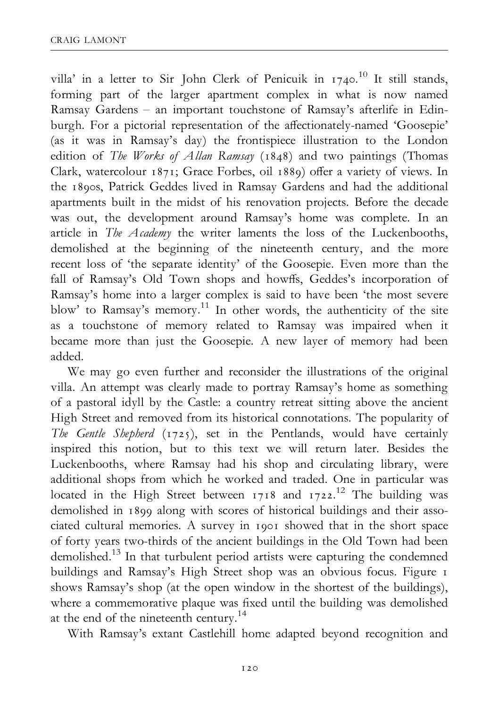villa' in a letter to Sir John Clerk of Penicuik in  $1740$ .<sup>10</sup> It still stands, forming part of the larger apartment complex in what is now named Ramsay Gardens - an important touchstone of Ramsay's afterlife in Edinburgh. For a pictorial representation of the affectionately-named 'Goosepie' (as it was in Ramsay's day) the frontispiece illustration to the London edition of The Works of Allan Ramsay ( $1848$ ) and two paintings (Thomas Clark, watercolour 1871; Grace Forbes, oil 1889) offer a variety of views. In the 1890s, Patrick Geddes lived in Ramsay Gardens and had the additional apartments built in the midst of his renovation projects. Before the decade was out, the development around Ramsay's home was complete. In an article in The Academy the writer laments the loss of the Luckenbooths, demolished at the beginning of the nineteenth century, and the more recent loss of 'the separate identity' of the Goosepie. Even more than the fall of Ramsay's Old Town shops and howffs, Geddes's incorporation of Ramsay's home into a larger complex is said to have been 'the most severe blow' to Ramsay's memory.<sup>11</sup> In other words, the authenticity of the site as a touchstone of memory related to Ramsay was impaired when it became more than just the Goosepie. A new layer of memory had been added.

We may go even further and reconsider the illustrations of the original villa. An attempt was clearly made to portray Ramsay's home as something of a pastoral idyll by the Castle: a country retreat sitting above the ancient High Street and removed from its historical connotations. The popularity of The Gentle Shepherd  $(1725)$ , set in the Pentlands, would have certainly inspired this notion, but to this text we will return later. Besides the Luckenbooths, where Ramsay had his shop and circulating library, were additional shops from which he worked and traded. One in particular was located in the High Street between  $1718$  and  $1722$ .<sup>12</sup> The building was demolished in 1899 along with scores of historical buildings and their associated cultural memories. A survey in 1901 showed that in the short space of forty years two-thirds of the ancient buildings in the Old Town had been demolished.13 In that turbulent period artists were capturing the condemned buildings and Ramsay's High Street shop was an obvious focus. Figure 1 shows Ramsay's shop (at the open window in the shortest of the buildings), where a commemorative plaque was fixed until the building was demolished at the end of the nineteenth century.<sup>14</sup>

With Ramsay's extant Castlehill home adapted beyond recognition and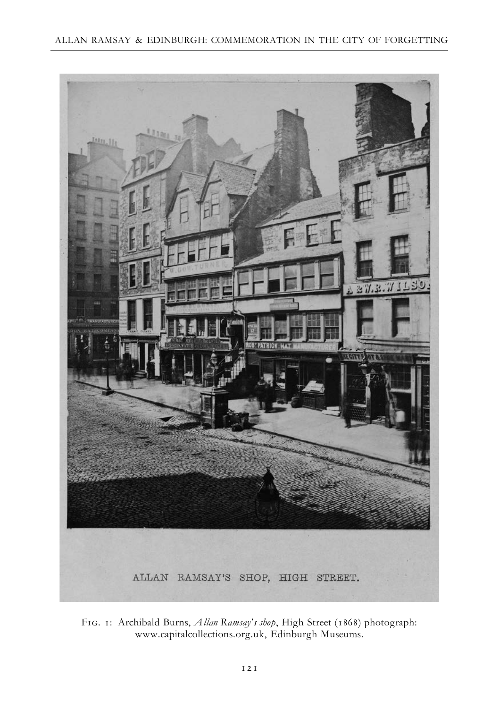

FIG. 1: Archibald Burns, *Allan Ramsay's shop*, High Street (1868) photograph: www.capitalcollections.org.uk, Edinburgh Museums.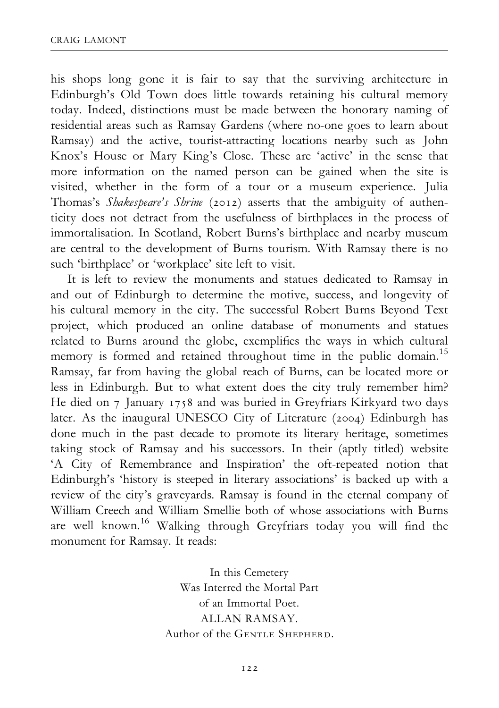his shops long gone it is fair to say that the surviving architecture in Edinburgh's Old Town does little towards retaining his cultural memory today. Indeed, distinctions must be made between the honorary naming of residential areas such as Ramsay Gardens (where no-one goes to learn about Ramsay) and the active, tourist-attracting locations nearby such as John Knox's House or Mary King's Close. These are 'active' in the sense that more information on the named person can be gained when the site is visited, whether in the form of a tour or a museum experience. Julia Thomas's Shakespeare's Shrine (2012) asserts that the ambiguity of authenticity does not detract from the usefulness of birthplaces in the process of immortalisation. In Scotland, Robert Burns's birthplace and nearby museum are central to the development of Burns tourism. With Ramsay there is no such 'birthplace' or 'workplace' site left to visit.

It is left to review the monuments and statues dedicated to Ramsay in and out of Edinburgh to determine the motive, success, and longevity of his cultural memory in the city. The successful Robert Burns Beyond Text project, which produced an online database of monuments and statues related to Burns around the globe, exemplifies the ways in which cultural memory is formed and retained throughout time in the public domain.<sup>15</sup> Ramsay, far from having the global reach of Burns, can be located more or less in Edinburgh. But to what extent does the city truly remember him? He died on 7 January 1758 and was buried in Greyfriars Kirkyard two days later. As the inaugural UNESCO City of Literature (2004) Edinburgh has done much in the past decade to promote its literary heritage, sometimes taking stock of Ramsay and his successors. In their (aptly titled) website 'A City of Remembrance and Inspiration' the oft-repeated notion that Edinburgh's 'history is steeped in literary associations' is backed up with a review of the city's graveyards. Ramsay is found in the eternal company of William Creech and William Smellie both of whose associations with Burns are well known.<sup>16</sup> Walking through Greyfriars today you will find the monument for Ramsay. It reads:

> In this Cemetery Was Interred the Mortal Part of an Immortal Poet. ALLAN RAMSAY. Author of the GENTLE SHEPHERD.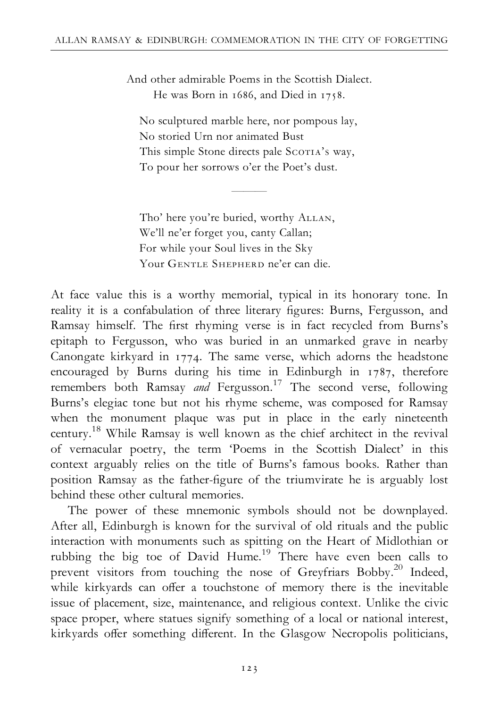And other admirable Poems in the Scottish Dialect. He was Born in  $1686$ , and Died in  $1758$ .

No sculptured marble here, nor pompous lay, No storied Urn nor animated Bust This simple Stone directs pale SCOTIA's way, To pour her sorrows o'er the Poet's dust.

 $\overline{\phantom{a}}$ 

Tho' here you're buried, worthy ALLAN, We'll ne'er forget you, canty Callan; For while your Soul lives in the Sky Your GENTLE SHEPHERD ne'er can die.

At face value this is a worthy memorial, typical in its honorary tone. In reality it is a confabulation of three literary figures: Burns, Fergusson, and Ramsay himself. The first rhyming verse is in fact recycled from Burns's epitaph to Fergusson, who was buried in an unmarked grave in nearby Canongate kirkyard in  $1774$ . The same verse, which adorns the headstone encouraged by Burns during his time in Edinburgh in 1787, therefore remembers both Ramsay and Fergusson.<sup>17</sup> The second verse, following Burns's elegiac tone but not his rhyme scheme, was composed for Ramsay when the monument plaque was put in place in the early nineteenth century.18 While Ramsay is well known as the chief architect in the revival of vernacular poetry, the term 'Poems in the Scottish Dialect' in this context arguably relies on the title of Burns's famous books. Rather than position Ramsay as the father-figure of the triumvirate he is arguably lost behind these other cultural memories.

The power of these mnemonic symbols should not be downplayed. After all, Edinburgh is known for the survival of old rituals and the public interaction with monuments such as spitting on the Heart of Midlothian or rubbing the big toe of David Hume.<sup>19</sup> There have even been calls to prevent visitors from touching the nose of Greyfriars Bobby.<sup>20</sup> Indeed, while kirkyards can offer a touchstone of memory there is the inevitable issue of placement, size, maintenance, and religious context. Unlike the civic space proper, where statues signify something of a local or national interest, kirkyards offer something different. In the Glasgow Necropolis politicians,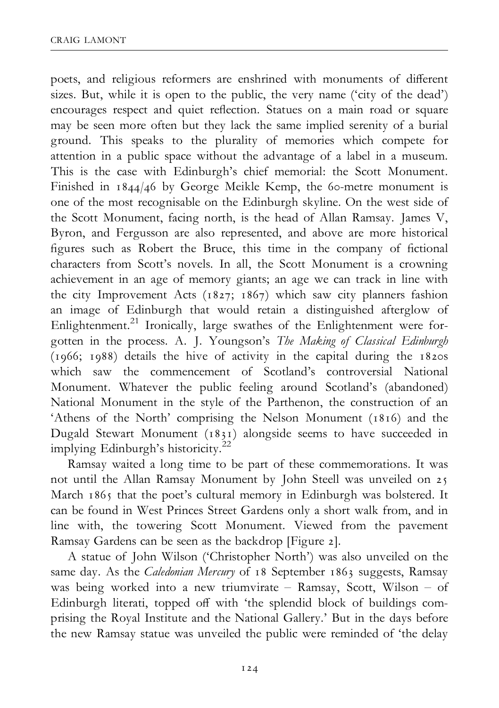poets, and religious reformers are enshrined with monuments of different sizes. But, while it is open to the public, the very name ('city of the dead') encourages respect and quiet reflection. Statues on a main road or square may be seen more often but they lack the same implied serenity of a burial ground. This speaks to the plurality of memories which compete for attention in a public space without the advantage of a label in a museum. This is the case with Edinburgh's chief memorial: the Scott Monument. Finished in 1844/46 by George Meikle Kemp, the 60-metre monument is one of the most recognisable on the Edinburgh skyline. On the west side of the Scott Monument, facing north, is the head of Allan Ramsay. James V, Byron, and Fergusson are also represented, and above are more historical figures such as Robert the Bruce, this time in the company of fictional characters from Scott's novels. In all, the Scott Monument is a crowning achievement in an age of memory giants; an age we can track in line with the city Improvement Acts (1827; 1867) which saw city planners fashion an image of Edinburgh that would retain a distinguished afterglow of Enlightenment.<sup>21</sup> Ironically, large swathes of the Enlightenment were forgotten in the process. A. J. Youngson's The Making of Classical Edinburgh (1966; 1988) details the hive of activity in the capital during the 1820s which saw the commencement of Scotland's controversial National Monument. Whatever the public feeling around Scotland's (abandoned) National Monument in the style of the Parthenon, the construction of an 'Athens of the North' comprising the Nelson Monument (1816) and the Dugald Stewart Monument  $(1831)$  alongside seems to have succeeded in implying Edinburgh's historicity.22

Ramsay waited a long time to be part of these commemorations. It was not until the Allan Ramsay Monument by John Steell was unveiled on 25 March 1865 that the poet's cultural memory in Edinburgh was bolstered. It can be found in West Princes Street Gardens only a short walk from, and in line with, the towering Scott Monument. Viewed from the pavement Ramsay Gardens can be seen as the backdrop [Figure 2].

A statue of John Wilson ('Christopher North') was also unveiled on the same day. As the *Caledonian Mercury* of 18 September 1863 suggests, Ramsay was being worked into a new triumvirate  $-$  Ramsay, Scott, Wilson  $-$  of Edinburgh literati, topped off with 'the splendid block of buildings comprising the Royal Institute and the National Gallery.' But in the days before the new Ramsay statue was unveiled the public were reminded of 'the delay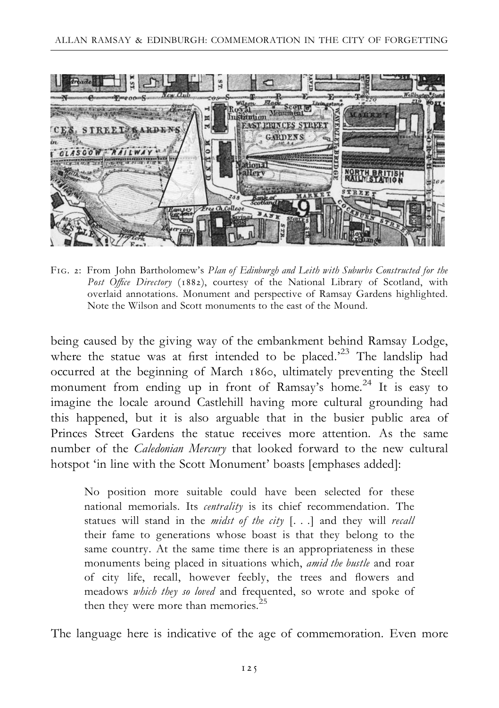

FIG. 2: From John Bartholomew's Plan of Edinburgh and Leith with Suburbs Constructed for the Post Office Directory (1882), courtesy of the National Library of Scotland, with overlaid annotations. Monument and perspective of Ramsay Gardens highlighted. Note the Wilson and Scott monuments to the east of the Mound.

being caused by the giving way of the embankment behind Ramsay Lodge, where the statue was at first intended to be placed.<sup>23</sup> The landslip had occurred at the beginning of March 1860, ultimately preventing the Steell monument from ending up in front of Ramsay's home.<sup>24</sup> It is easy to imagine the locale around Castlehill having more cultural grounding had this happened, but it is also arguable that in the busier public area of Princes Street Gardens the statue receives more attention. As the same number of the Caledonian Mercury that looked forward to the new cultural hotspot 'in line with the Scott Monument' boasts [emphases added]:

No position more suitable could have been selected for these national memorials. Its *centrality* is its chief recommendation. The statues will stand in the *midst of the city* [...] and they will *recall* their fame to generations whose boast is that they belong to the same country. At the same time there is an appropriateness in these monuments being placed in situations which, amid the bustle and roar of city life, recall, however feebly, the trees and £owers and meadows which they so loved and frequented, so wrote and spoke of then they were more than memories. $25$ 

The language here is indicative of the age of commemoration. Even more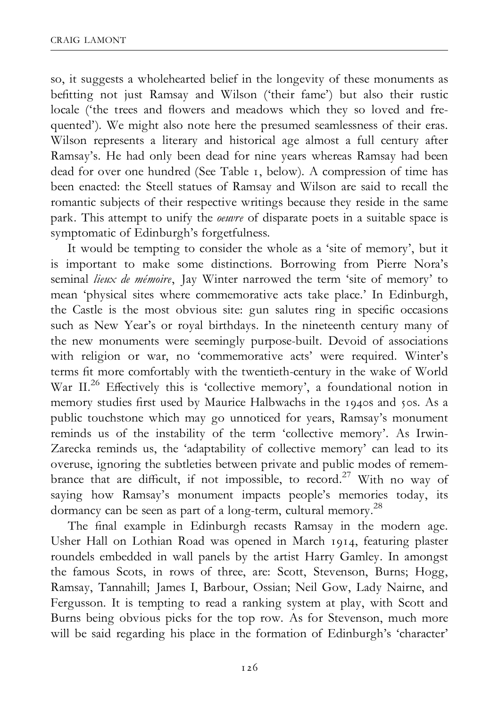so, it suggests a wholehearted belief in the longevity of these monuments as befitting not just Ramsay and Wilson ('their fame') but also their rustic locale ('the trees and flowers and meadows which they so loved and frequented'). We might also note here the presumed seamlessness of their eras. Wilson represents a literary and historical age almost a full century after Ramsay's. He had only been dead for nine years whereas Ramsay had been dead for over one hundred (See Table 1, below). A compression of time has been enacted: the Steell statues of Ramsay and Wilson are said to recall the romantic subjects of their respective writings because they reside in the same park. This attempt to unify the *oeuvre* of disparate poets in a suitable space is symptomatic of Edinburgh's forgetfulness.

It would be tempting to consider the whole as a 'site of memory', but it is important to make some distinctions. Borrowing from Pierre Nora's seminal *lieux de mémoire*, Jay Winter narrowed the term 'site of memory' to mean 'physical sites where commemorative acts take place.' In Edinburgh, the Castle is the most obvious site: gun salutes ring in specific occasions such as New Year's or royal birthdays. In the nineteenth century many of the new monuments were seemingly purpose-built. Devoid of associations with religion or war, no 'commemorative acts' were required. Winter's terms fit more comfortably with the twentieth-century in the wake of World War II.<sup>26</sup> Effectively this is 'collective memory', a foundational notion in memory studies first used by Maurice Halbwachs in the 1940s and 50s. As a public touchstone which may go unnoticed for years, Ramsay's monument reminds us of the instability of the term 'collective memory'. As Irwin-Zarecka reminds us, the 'adaptability of collective memory' can lead to its overuse, ignoring the subtleties between private and public modes of remembrance that are difficult, if not impossible, to record.<sup>27</sup> With no way of saying how Ramsay's monument impacts people's memories today, its dormancy can be seen as part of a long-term, cultural memory.28

The final example in Edinburgh recasts Ramsay in the modern age. Usher Hall on Lothian Road was opened in March 1914, featuring plaster roundels embedded in wall panels by the artist Harry Gamley. In amongst the famous Scots, in rows of three, are: Scott, Stevenson, Burns; Hogg, Ramsay, Tannahill; James I, Barbour, Ossian; Neil Gow, Lady Nairne, and Fergusson. It is tempting to read a ranking system at play, with Scott and Burns being obvious picks for the top row. As for Stevenson, much more will be said regarding his place in the formation of Edinburgh's 'character'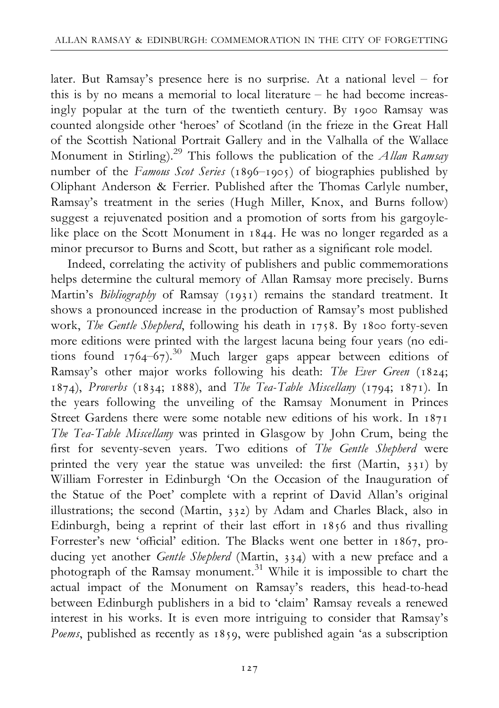later. But Ramsay's presence here is no surprise. At a national level  $-$  for this is by no means a memorial to local literature  $-$  he had become increasingly popular at the turn of the twentieth century. By 1900 Ramsay was counted alongside other 'heroes' of Scotland (in the frieze in the Great Hall of the Scottish National Portrait Gallery and in the Valhalla of the Wallace Monument in Stirling).<sup>29</sup> This follows the publication of the *Allan Ramsay* number of the Famous Scot Series (1896–1905) of biographies published by Oliphant Anderson & Ferrier. Published after the Thomas Carlyle number, Ramsay's treatment in the series (Hugh Miller, Knox, and Burns follow) suggest a rejuvenated position and a promotion of sorts from his gargoylelike place on the Scott Monument in 1844. He was no longer regarded as a minor precursor to Burns and Scott, but rather as a significant role model.

Indeed, correlating the activity of publishers and public commemorations helps determine the cultural memory of Allan Ramsay more precisely. Burns Martin's Bibliography of Ramsay (1931) remains the standard treatment. It shows a pronounced increase in the production of Ramsay's most published work, The Gentle Shepherd, following his death in 1758. By 1800 forty-seven more editions were printed with the largest lacuna being four years (no editions found  $1764-67$ .<sup>30</sup> Much larger gaps appear between editions of Ramsay's other major works following his death: The Ever Green (1824; 1874), Proverbs (1834; 1888), and The Tea-Table Miscellany (1794; 1871). In the years following the unveiling of the Ramsay Monument in Princes Street Gardens there were some notable new editions of his work. In  $1871$ The Tea-Table Miscellany was printed in Glasgow by John Crum, being the first for seventy-seven years. Two editions of The Gentle Shepherd were printed the very year the statue was unveiled: the first (Martin,  $331$ ) by William Forrester in Edinburgh 'On the Occasion of the Inauguration of the Statue of the Poet' complete with a reprint of David Allan's original illustrations; the second (Martin,  $332$ ) by Adam and Charles Black, also in Edinburgh, being a reprint of their last effort in 1856 and thus rivalling Forrester's new 'official' edition. The Blacks went one better in 1867, producing yet another Gentle Shepherd (Martin, 334) with a new preface and a photograph of the Ramsay monument.<sup>31</sup> While it is impossible to chart the actual impact of the Monument on Ramsay's readers, this head-to-head between Edinburgh publishers in a bid to 'claim' Ramsay reveals a renewed interest in his works. It is even more intriguing to consider that Ramsay's Poems, published as recently as  $1859$ , were published again 'as a subscription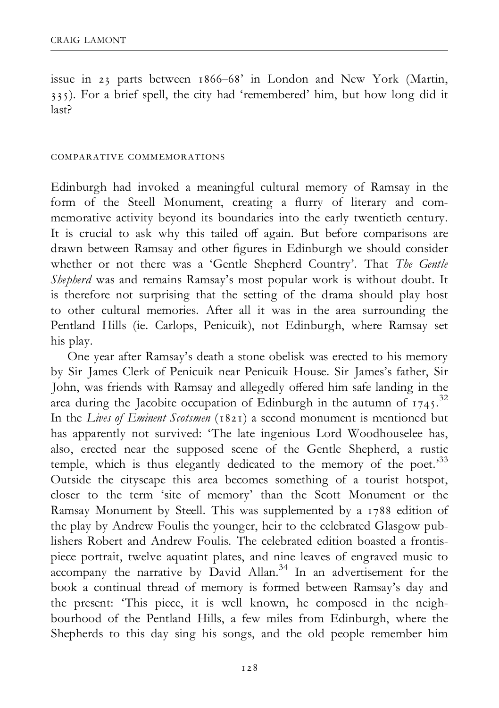issue in 23 parts between 1866–68' in London and New York (Martin, ). For a brief spell, the city had 'remembered' him, but how long did it last?

#### comparative commemorations

Edinburgh had invoked a meaningful cultural memory of Ramsay in the form of the Steell Monument, creating a flurry of literary and commemorative activity beyond its boundaries into the early twentieth century. It is crucial to ask why this tailed off again. But before comparisons are drawn between Ramsay and other figures in Edinburgh we should consider whether or not there was a 'Gentle Shepherd Country'. That The Gentle Shepherd was and remains Ramsay's most popular work is without doubt. It is therefore not surprising that the setting of the drama should play host to other cultural memories. After all it was in the area surrounding the Pentland Hills (ie. Carlops, Penicuik), not Edinburgh, where Ramsay set his play.

One year after Ramsay's death a stone obelisk was erected to his memory by Sir James Clerk of Penicuik near Penicuik House. Sir James's father, Sir John, was friends with Ramsay and allegedly offered him safe landing in the area during the Jacobite occupation of Edinburgh in the autumn of  $1745$ .<sup>32</sup> In the Lives of Eminent Scotsmen ( $1821$ ) a second monument is mentioned but has apparently not survived: 'The late ingenious Lord Woodhouselee has, also, erected near the supposed scene of the Gentle Shepherd, a rustic temple, which is thus elegantly dedicated to the memory of the poet.<sup>33</sup> Outside the cityscape this area becomes something of a tourist hotspot, closer to the term 'site of memory' than the Scott Monument or the Ramsay Monument by Steell. This was supplemented by a 1788 edition of the play by Andrew Foulis the younger, heir to the celebrated Glasgow publishers Robert and Andrew Foulis. The celebrated edition boasted a frontispiece portrait, twelve aquatint plates, and nine leaves of engraved music to accompany the narrative by David Allan.<sup>34</sup> In an advertisement for the book a continual thread of memory is formed between Ramsay's day and the present: 'This piece, it is well known, he composed in the neighbourhood of the Pentland Hills, a few miles from Edinburgh, where the Shepherds to this day sing his songs, and the old people remember him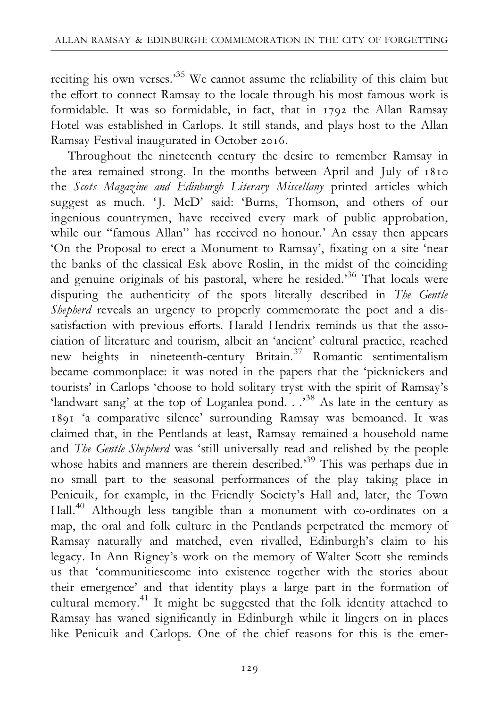reciting his own verses.<sup>35</sup> We cannot assume the reliability of this claim but the effort to connect Ramsay to the locale through his most famous work is formidable. It was so formidable, in fact, that in  $1792$  the Allan Ramsay Hotel was established in Carlops. It still stands, and plays host to the Allan Ramsay Festival inaugurated in October 2016.

Throughout the nineteenth century the desire to remember Ramsay in the area remained strong. In the months between April and July of 1810 the Scots Magazine and Edinburgh Literary Miscellany printed articles which suggest as much. 'J. McD' said: 'Burns, Thomson, and others of our ingenious countrymen, have received every mark of public approbation, while our "famous Allan" has received no honour.' An essay then appears 'On the Proposal to erect a Monument to Ramsay', fixating on a site 'near the banks of the classical Esk above Roslin, in the midst of the coinciding and genuine originals of his pastoral, where he resided.'<sup>36</sup> That locals were disputing the authenticity of the spots literally described in The Gentle Shepherd reveals an urgency to properly commemorate the poet and a dissatisfaction with previous efforts. Harald Hendrix reminds us that the association of literature and tourism, albeit an 'ancient' cultural practice, reached new heights in nineteenth-century Britain.<sup>37</sup> Romantic sentimentalism became commonplace: it was noted in the papers that the 'picknickers and tourists' in Carlops 'choose to hold solitary tryst with the spirit of Ramsay's 'landwart sang' at the top of Loganlea pond. . .<sup>38</sup> As late in the century as 1891 'a comparative silence' surrounding Ramsay was bemoaned. It was claimed that, in the Pentlands at least, Ramsay remained a household name and The Gentle Shepherd was 'still universally read and relished by the people whose habits and manners are therein described.<sup>39</sup> This was perhaps due in no small part to the seasonal performances of the play taking place in Penicuik, for example, in the Friendly Society's Hall and, later, the Town Hall.40 Although less tangible than a monument with co-ordinates on a map, the oral and folk culture in the Pentlands perpetrated the memory of Ramsay naturally and matched, even rivalled, Edinburgh's claim to his legacy. In Ann Rigney's work on the memory of Walter Scott she reminds us that 'communitiescome into existence together with the stories about their emergence' and that identity plays a large part in the formation of cultural memory.<sup>41</sup> It might be suggested that the folk identity attached to Ramsay has waned significantly in Edinburgh while it lingers on in places like Penicuik and Carlops. One of the chief reasons for this is the emer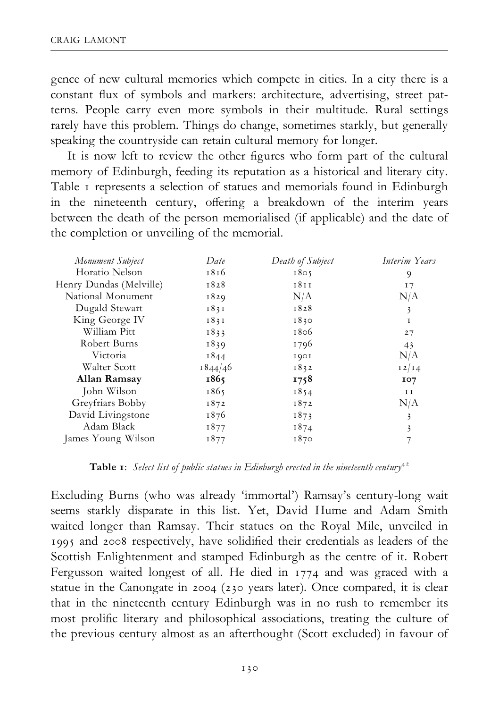gence of new cultural memories which compete in cities. In a city there is a constant flux of symbols and markers: architecture, advertising, street patterns. People carry even more symbols in their multitude. Rural settings rarely have this problem. Things do change, sometimes starkly, but generally speaking the countryside can retain cultural memory for longer.

It is now left to review the other figures who form part of the cultural memory of Edinburgh, feeding its reputation as a historical and literary city. Table I represents a selection of statues and memorials found in Edinburgh in the nineteenth century, offering a breakdown of the interim years between the death of the person memorialised (if applicable) and the date of the completion or unveiling of the memorial.

| Date    | Death of Subject | Interim Years           |
|---------|------------------|-------------------------|
| 1816    | 1805             | 9                       |
| 1828    | 1811             | 17                      |
| 1829    | N/A              | N/A                     |
| 1831    | 1828             | 3                       |
| 1831    | 1830             | I                       |
| 1833    | 1806             | 27                      |
| 1839    | 1796             | 43                      |
| 1844    | 1901             | N/A                     |
| 1844/46 | 1832             | 12/14                   |
| 1865    | 1758             | 107                     |
| 1865    | 1854             | I I                     |
| 1872    | 1872             | N/A                     |
| 1876    | 1873             | 3                       |
| 1877    | 1874             | $\overline{\mathbf{3}}$ |
| 1877    | 1870             |                         |
|         |                  |                         |

**Table 1:** Select list of public statues in Edinburgh erected in the nineteenth century<sup>42</sup>

Excluding Burns (who was already 'immortal') Ramsay's century-long wait seems starkly disparate in this list. Yet, David Hume and Adam Smith waited longer than Ramsay. Their statues on the Royal Mile, unveiled in 1995 and 2008 respectively, have solidified their credentials as leaders of the Scottish Enlightenment and stamped Edinburgh as the centre of it. Robert Fergusson waited longest of all. He died in  $1774$  and was graced with a statue in the Canongate in 2004 (230 years later). Once compared, it is clear that in the nineteenth century Edinburgh was in no rush to remember its most prolific literary and philosophical associations, treating the culture of the previous century almost as an afterthought (Scott excluded) in favour of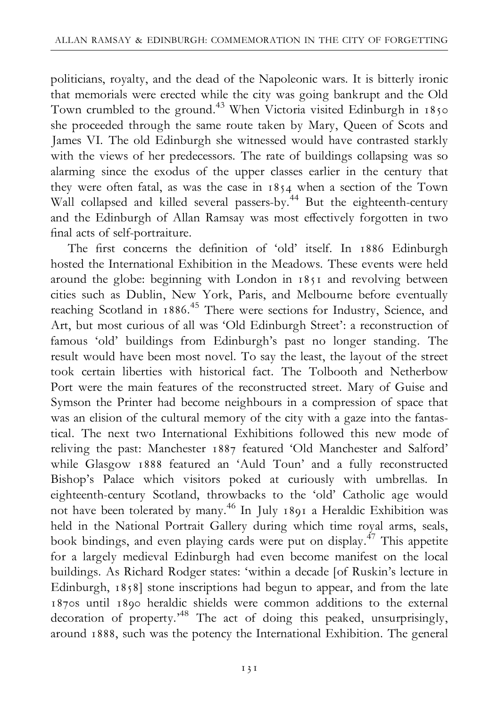politicians, royalty, and the dead of the Napoleonic wars. It is bitterly ironic that memorials were erected while the city was going bankrupt and the Old Town crumbled to the ground.<sup>43</sup> When Victoria visited Edinburgh in 1850 she proceeded through the same route taken by Mary, Queen of Scots and James VI. The old Edinburgh she witnessed would have contrasted starkly with the views of her predecessors. The rate of buildings collapsing was so alarming since the exodus of the upper classes earlier in the century that they were often fatal, as was the case in 1854 when a section of the Town Wall collapsed and killed several passers-by.<sup>44</sup> But the eighteenth-century and the Edinburgh of Allan Ramsay was most effectively forgotten in two final acts of self-portraiture.

The first concerns the definition of 'old' itself. In 1886 Edinburgh hosted the International Exhibition in the Meadows. These events were held around the globe: beginning with London in  $1851$  and revolving between cities such as Dublin, New York, Paris, and Melbourne before eventually reaching Scotland in 1886.<sup>45</sup> There were sections for Industry, Science, and Art, but most curious of all was 'Old Edinburgh Street': a reconstruction of famous 'old' buildings from Edinburgh's past no longer standing. The result would have been most novel. To say the least, the layout of the street took certain liberties with historical fact. The Tolbooth and Netherbow Port were the main features of the reconstructed street. Mary of Guise and Symson the Printer had become neighbours in a compression of space that was an elision of the cultural memory of the city with a gaze into the fantastical. The next two International Exhibitions followed this new mode of reliving the past: Manchester 1887 featured 'Old Manchester and Salford' while Glasgow 1888 featured an 'Auld Toun' and a fully reconstructed Bishop's Palace which visitors poked at curiously with umbrellas. In eighteenth-century Scotland, throwbacks to the 'old' Catholic age would not have been tolerated by many.<sup>46</sup> In July 1891 a Heraldic Exhibition was held in the National Portrait Gallery during which time royal arms, seals, book bindings, and even playing cards were put on display.<sup>47</sup> This appetite for a largely medieval Edinburgh had even become manifest on the local buildings. As Richard Rodger states: 'within a decade [of Ruskin's lecture in Edinburgh, 1858] stone inscriptions had begun to appear, and from the late 1870s until 1890 heraldic shields were common additions to the external decoration of property.'48 The act of doing this peaked, unsurprisingly, around 1888, such was the potency the International Exhibition. The general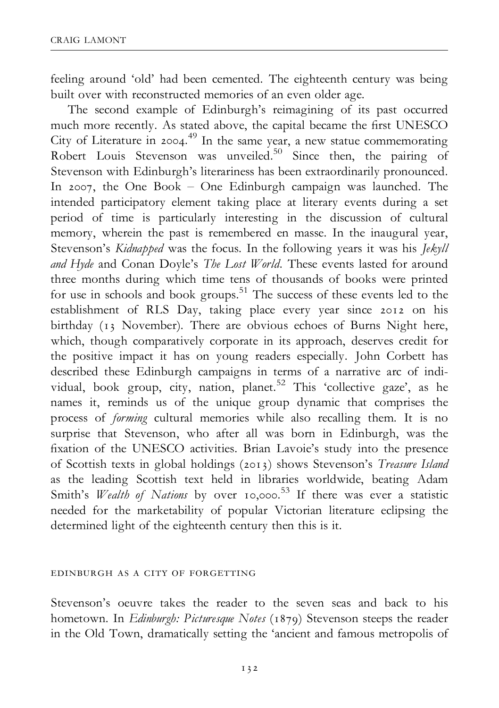feeling around 'old' had been cemented. The eighteenth century was being built over with reconstructed memories of an even older age.

The second example of Edinburgh's reimagining of its past occurred much more recently. As stated above, the capital became the first UNESCO City of Literature in 2004.<sup>49</sup> In the same year, a new statue commemorating Robert Louis Stevenson was unveiled.<sup>50</sup> Since then, the pairing of Stevenson with Edinburgh's literariness has been extraordinarily pronounced. In 2007, the One Book  $-$  One Edinburgh campaign was launched. The intended participatory element taking place at literary events during a set period of time is particularly interesting in the discussion of cultural memory, wherein the past is remembered en masse. In the inaugural year, Stevenson's Kidnapped was the focus. In the following years it was his Jekyll and Hyde and Conan Doyle's The Lost World. These events lasted for around three months during which time tens of thousands of books were printed for use in schools and book groups.<sup>51</sup> The success of these events led to the establishment of RLS Day, taking place every year since 2012 on his birthday (13 November). There are obvious echoes of Burns Night here, which, though comparatively corporate in its approach, deserves credit for the positive impact it has on young readers especially. John Corbett has described these Edinburgh campaigns in terms of a narrative arc of individual, book group, city, nation, planet.<sup>52</sup> This 'collective gaze', as he names it, reminds us of the unique group dynamic that comprises the process of forming cultural memories while also recalling them. It is no surprise that Stevenson, who after all was born in Edinburgh, was the fixation of the UNESCO activities. Brian Lavoie's study into the presence of Scottish texts in global holdings (2013) shows Stevenson's Treasure Island as the leading Scottish text held in libraries worldwide, beating Adam Smith's Wealth of Nations by over  $10,000$ .<sup>53</sup> If there was ever a statistic needed for the marketability of popular Victorian literature eclipsing the determined light of the eighteenth century then this is it.

#### edinburgh as a city of forgetting

Stevenson's oeuvre takes the reader to the seven seas and back to his hometown. In Edinburgh: Picturesque Notes (1879) Stevenson steeps the reader in the Old Town, dramatically setting the 'ancient and famous metropolis of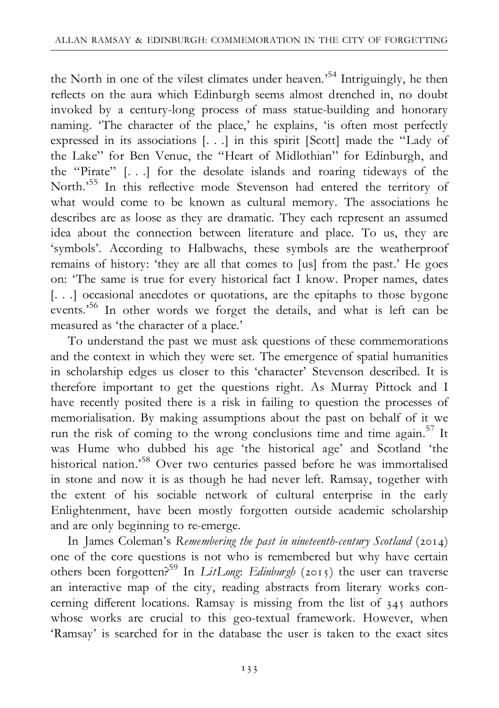the North in one of the vilest climates under heaven.'<sup>54</sup> Intriguingly, he then reflects on the aura which Edinburgh seems almost drenched in, no doubt invoked by a century-long process of mass statue-building and honorary naming. 'The character of the place,' he explains, 'is often most perfectly expressed in its associations [. . .] in this spirit [Scott] made the ''Lady of the Lake'' for Ben Venue, the ''Heart of Midlothian'' for Edinburgh, and the ''Pirate'' [. . .] for the desolate islands and roaring tideways of the North.'<sup>55</sup> In this reflective mode Stevenson had entered the territory of what would come to be known as cultural memory. The associations he describes are as loose as they are dramatic. They each represent an assumed idea about the connection between literature and place. To us, they are 'symbols'. According to Halbwachs, these symbols are the weatherproof remains of history: 'they are all that comes to [us] from the past.' He goes on: 'The same is true for every historical fact I know. Proper names, dates [. . .] occasional anecdotes or quotations, are the epitaphs to those bygone events.'56 In other words we forget the details, and what is left can be measured as 'the character of a place.'

To understand the past we must ask questions of these commemorations and the context in which they were set. The emergence of spatial humanities in scholarship edges us closer to this 'character' Stevenson described. It is therefore important to get the questions right. As Murray Pittock and I have recently posited there is a risk in failing to question the processes of memorialisation. By making assumptions about the past on behalf of it we run the risk of coming to the wrong conclusions time and time again.57 It was Hume who dubbed his age 'the historical age' and Scotland 'the historical nation.'58 Over two centuries passed before he was immortalised in stone and now it is as though he had never left. Ramsay, together with the extent of his sociable network of cultural enterprise in the early Enlightenment, have been mostly forgotten outside academic scholarship and are only beginning to re-emerge.

In James Coleman's Remembering the past in nineteenth-century Scotland ( $2014$ ) one of the core questions is not who is remembered but why have certain others been forgotten?<sup>59</sup> In LitLong: Edinburgh (2015) the user can traverse an interactive map of the city, reading abstracts from literary works concerning different locations. Ramsay is missing from the list of  $345$  authors whose works are crucial to this geo-textual framework. However, when 'Ramsay' is searched for in the database the user is taken to the exact sites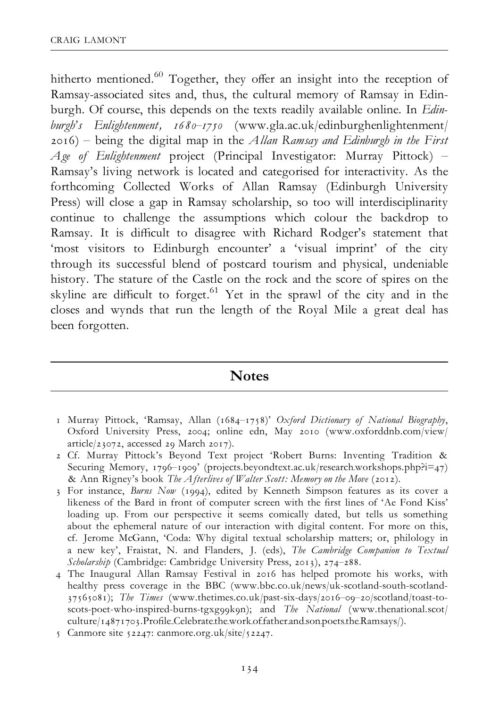hitherto mentioned.<sup>60</sup> Together, they offer an insight into the reception of Ramsay-associated sites and, thus, the cultural memory of Ramsay in Edinburgh. Of course, this depends on the texts readily available online. In *Edin*burgh's Enlightenment, 1680–1750 (www.gla.ac.uk/edinburghenlightenment/  $(2016)$  – being the digital map in the *Allan Ramsay and Edinburgh in the First* Age of Enlightenment project (Principal Investigator: Murray Pittock) – Ramsay's living network is located and categorised for interactivity. As the forthcoming Collected Works of Allan Ramsay (Edinburgh University Press) will close a gap in Ramsay scholarship, so too will interdisciplinarity continue to challenge the assumptions which colour the backdrop to Ramsay. It is difficult to disagree with Richard Rodger's statement that 'most visitors to Edinburgh encounter' a 'visual imprint' of the city through its successful blend of postcard tourism and physical, undeniable history. The stature of the Castle on the rock and the score of spires on the skyline are difficult to forget. $61$  Yet in the sprawl of the city and in the closes and wynds that run the length of the Royal Mile a great deal has been forgotten.

# **Notes**

- 1 Murray Pittock, 'Ramsay, Allan (1684-1758)' Oxford Dictionary of National Biography, Oxford University Press, 2004; online edn, May 2010 (www.oxforddnb.com/view/  $article/23072$ , accessed  $29$  March  $2017$ ).
- 2 Cf. Murray Pittock's Beyond Text project 'Robert Burns: Inventing Tradition & Securing Memory, 1796–1909' (projects.beyondtext.ac.uk/research.workshops.php?i=47) & Ann Rigney's book The Afterlives of Walter Scott: Memory on the Move (2012).
- 3 For instance, *Burns Now* (1994), edited by Kenneth Simpson features as its cover a likeness of the Bard in front of computer screen with the first lines of 'Ae Fond Kiss' loading up. From our perspective it seems comically dated, but tells us something about the ephemeral nature of our interaction with digital content. For more on this, cf. Jerome McGann, 'Coda: Why digital textual scholarship matters; or, philology in a new key', Fraistat, N. and Flanders, J. (eds), The Cambridge Companion to Textual  $Scbolarship$  (Cambridge: Cambridge University Press, 2013), 274-288.
- 4 The Inaugural Allan Ramsay Festival in 2016 has helped promote his works, with healthy press coverage in the BBC (www.bbc.co.uk/news/uk-scotland-south-scotland- 37565081); The Times (www.thetimes.co.uk/past-six-days/2016-09-20/scotland/toast-toscots-poet-who-inspired-burns-tgxg99k9n); and The National (www.thenational.scot/ culture/14871703.Profile\_Celebrate\_the\_work\_offather\_and\_son\_poets\_the\_Ramsays/).
- 5 Canmore site  $52247$ : canmore.org.uk/site/ $52247$ .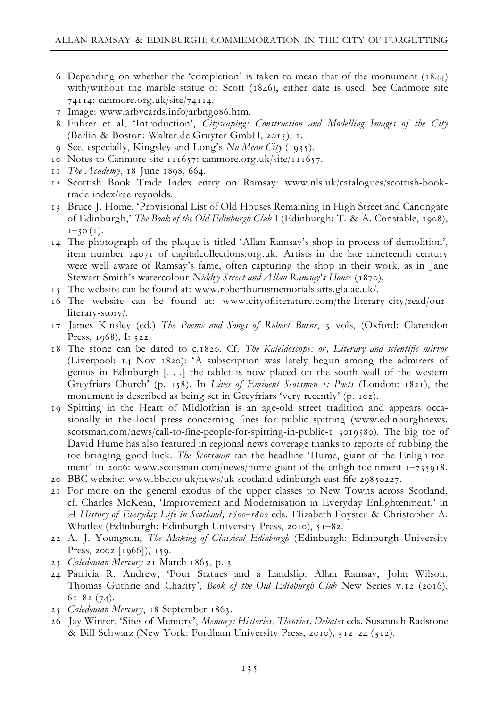- 6 Depending on whether the 'completion' is taken to mean that of the monument  $(1844)$ with/without the marble statue of Scott (1846), either date is used. See Canmore site 74114: canmore.org.uk/site/74114.
- 7 Image: www.arbycards.info/arbngo86.htm.
- 8 Fuhrer et al, 'Introduction', Cityscaping: Construction and Modelling Images of the City (Berlin & Boston: Walter de Gruyter GmbH, 2015), 1.
- 9 See, especially, Kingsley and Long's No Mean City (1935).
- 10 Notes to Canmore site 111657: canmore.org.uk/site/111657.
- 11 The Academy, 18 June 1898, 664.
- 12 Scottish Book Trade Index entry on Ramsay: www.nls.uk/catalogues/scottish-booktrade-index/rae-reynolds.
- 13 Bruce J. Home, 'Provisional List of Old Houses Remaining in High Street and Canongate of Edinburgh,' The Book of the Old Edinburgh Club I (Edinburgh: T. & A. Constable, 1908),  $1 - 30(1)$ .
- 14 The photograph of the plaque is titled 'Allan Ramsay's shop in process of demolition', item number  $14071$  of capitalcollections.org.uk. Artists in the late nineteenth century were well aware of Ramsay's fame, often capturing the shop in their work, as in Jane Stewart Smith's watercolour Niddry Street and Allan Ramsay's House (1870).
- 15 The website can be found at: www.robertburnsmemorials.arts.gla.ac.uk/.
- 16 The website can be found at: www.cityofliterature.com/the-literary-city/read/ourliterary-story/.
- 17 James Kinsley (ed.) The Poems and Songs of Robert Burns, 3 vols, (Oxford: Clarendon Press, 1968), I: 322.
- 18 The stone can be dated to c.1820. Cf. The Kaleidoscope: or, Literary and scientific mirror (Liverpool:  $14$  Nov  $1820$ ): 'A subscription was lately begun among the admirers of genius in Edinburgh [. . .] the tablet is now placed on the south wall of the western Greyfriars Church' (p. 158). In Lives of Eminent Scotsmen 1: Poets (London: 1821), the monument is described as being set in Greyfriars 'very recently' (p. 102).
- 19 Spitting in the Heart of Midlothian is an age-old street tradition and appears occasionally in the local press concerning fines for public spitting (www.edinburghnews. scotsman.com/news/call-to-fine-people-for-spitting-in-public-1-3019580). The big toe of David Hume has also featured in regional news coverage thanks to reports of rubbing the toe bringing good luck. The Scotsman ran the headline 'Hume, giant of the Enligh-toement' in 2006: www.scotsman.com/news/hume-giant-of-the-enligh-toe-nment-1–735918.
- 20 BBC website: www.bbc.co.uk/news/uk-scotland-edinburgh-east-fife-29850227.
- 21 For more on the general exodus of the upper classes to New Towns across Scotland, cf. Charles McKean, 'Improvement and Modernisation in Everyday Enlightenment,' in A History of Everyday Life in Scotland, 1600–1800 eds. Elizabeth Foyster & Christopher A. Whatley (Edinburgh: Edinburgh University Press, 2010),  $51-82$ .
- 22 A. J. Youngson, The Making of Classical Edinburgh (Edinburgh: Edinburgh University Press, 2002 [1966]), 159.
- 23 Caledonian Mercury 21 March 1865, p. 3.
- 24 Patricia R. Andrew, 'Four Statues and a Landslip: Allan Ramsay, John Wilson, Thomas Guthrie and Charity', Book of the Old Edinburgh Club New Series v.12 (2016),  $6, -82$  (74).
- 25 Caledonian Mercury, 18 September 1863.
- 26 Jay Winter, 'Sites of Memory', Memory: Histories, Theories, Debates eds. Susannah Radstone & Bill Schwarz (New York: Fordham University Press, 2010), 312-24 (312).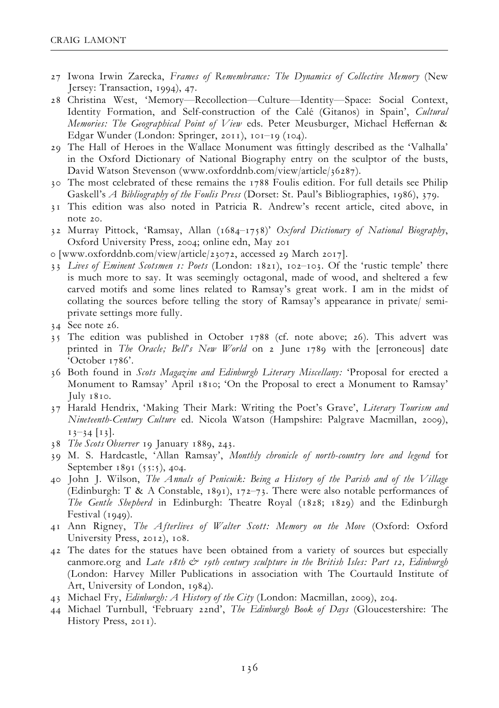- 27 Iwona Irwin Zarecka, Frames of Remembrance: The Dynamics of Collective Memory (New Jersey: Transaction, 1994), 47.
- 28 Christina West, 'Memory-Recollection-Culture-Identity-Space: Social Context, Identity Formation, and Self-construction of the Calé (Gitanos) in Spain', Cultural Memories: The Geographical Point of View eds. Peter Meusburger, Michael Heffernan & Edgar Wunder (London: Springer, 2011),  $10I-19$  ( $104$ ).
- 29 The Hall of Heroes in the Wallace Monument was ¢ttingly described as the 'Valhalla' in the Oxford Dictionary of National Biography entry on the sculptor of the busts, David Watson Stevenson (www.oxforddnb.com/view/article/36287).
- 30 The most celebrated of these remains the 1788 Foulis edition. For full details see Philip Gaskell's A Bibliography of the Foulis Press (Dorset: St. Paul's Bibliographies, 1986), 379.
- 31 This edition was also noted in Patricia R. Andrew's recent article, cited above, in note 20.
- 32 Murray Pittock, 'Ramsay, Allan (1684-1758)' Oxford Dictionary of National Biography, Oxford University Press, 2004; online edn, May 201
- o [www.oxforddnb.com/view/article/23072, accessed 29 March 2017].
- 33 Lives of Eminent Scotsmen 1: Poets (London: 1821), 102-103. Of the 'rustic temple' there is much more to say. It was seemingly octagonal, made of wood, and sheltered a few carved motifs and some lines related to Ramsay's great work. I am in the midst of collating the sources before telling the story of Ramsay's appearance in private/ semiprivate settings more fully.
- $34$  See note 26.
- 35 The edition was published in October 1788 (cf. note above; 26). This advert was printed in The Oracle; Bell's New World on 2 June 1789 with the [erroneous] date 'October 1786'.
- 36 Both found in Scots Magazine and Edinburgh Literary Miscellany: 'Proposal for erected a Monument to Ramsay' April 1810; 'On the Proposal to erect a Monument to Ramsay' July 1810.
- 37 Harald Hendrix, 'Making Their Mark: Writing the Poet's Grave', Literary Tourism and Nineteenth-Century Culture ed. Nicola Watson (Hampshire: Palgrave Macmillan, 2009),  $13 - 34$  [13].
- 38 The Scots Observer 19 January 1889, 243.
- 39 M. S. Hardcastle, 'Allan Ramsay', Monthly chronicle of north-country lore and legend for September 1891 (55:5), 404.
- 40 John J. Wilson, The Annals of Penicuik: Being a History of the Parish and of the Village (Edinburgh: T & A Constable,  $1891$ ),  $172–73$ . There were also notable performances of The Gentle Shepherd in Edinburgh: Theatre Royal (1828; 1829) and the Edinburgh Festival  $(1949)$ .
- 41 Ann Rigney, The Afterlives of Walter Scott: Memory on the Move (Oxford: Oxford University Press, 2012), 108.
- 42 The dates for the statues have been obtained from a variety of sources but especially canmore.org and Late  $18$ th  $\dot{\mathcal{C}}$  19th century sculpture in the British Isles: Part 12, Edinburgh (London: Harvey Miller Publications in association with The Courtauld Institute of Art, University of London, 1984).
- 43 Michael Fry, Edinburgh: A History of the City (London: Macmillan, 2009), 204.
- 44 Michael Turnbull, 'February 22nd', The Edinburgh Book of Days (Gloucestershire: The History Press, 2011).